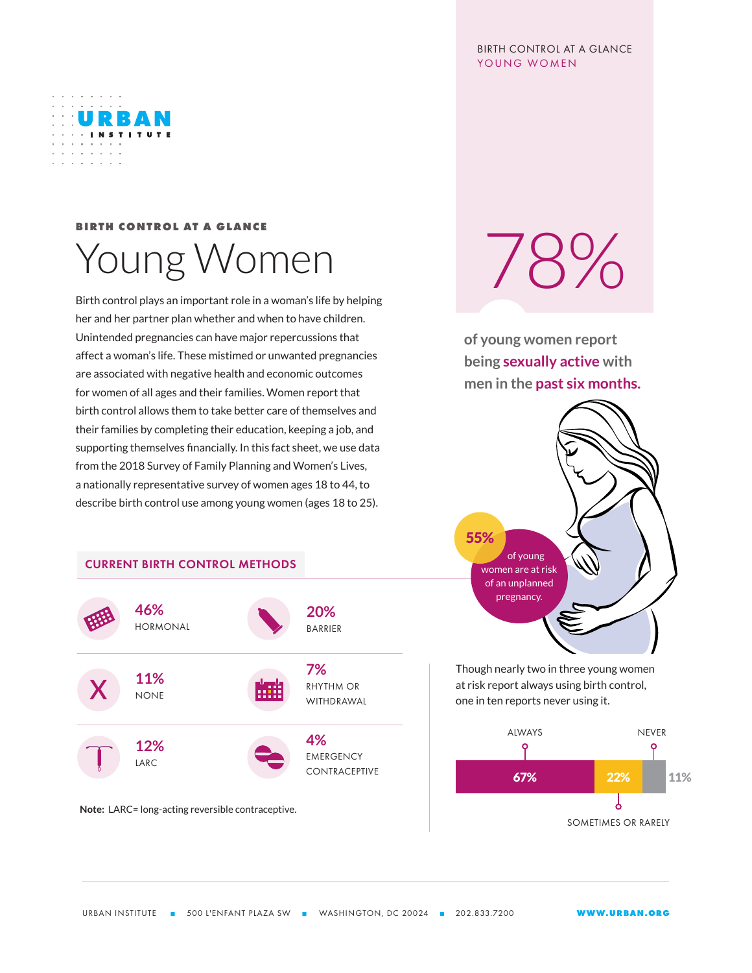## BIRTH CONTROL AT A GLANCE YOUNG WOMEN



## **BIRTH CONTROL AT A GLANCE** Young Women

Birth control plays an important role in a woman's life by helping her and her partner plan whether and when to have children. Unintended pregnancies can have major repercussions that affect a woman's life. These mistimed or unwanted pregnancies are associated with negative health and economic outcomes for women of all ages and their families. Women report that birth control allows them to take better care of themselves and their families by completing their education, keeping a job, and supporting themselves financially. In this fact sheet, we use data from the 2018 Survey of Family Planning and Women's Lives, a nationally representative survey of women ages 18 to 44, to describe birth control use among young women (ages 18 to 25).



**Note:** LARC= long-acting reversible contraceptive.

78%

**of young women report being sexually active with men in the past six months.**



Though nearly two in three young women at risk report always using birth control, one in ten reports never using it.